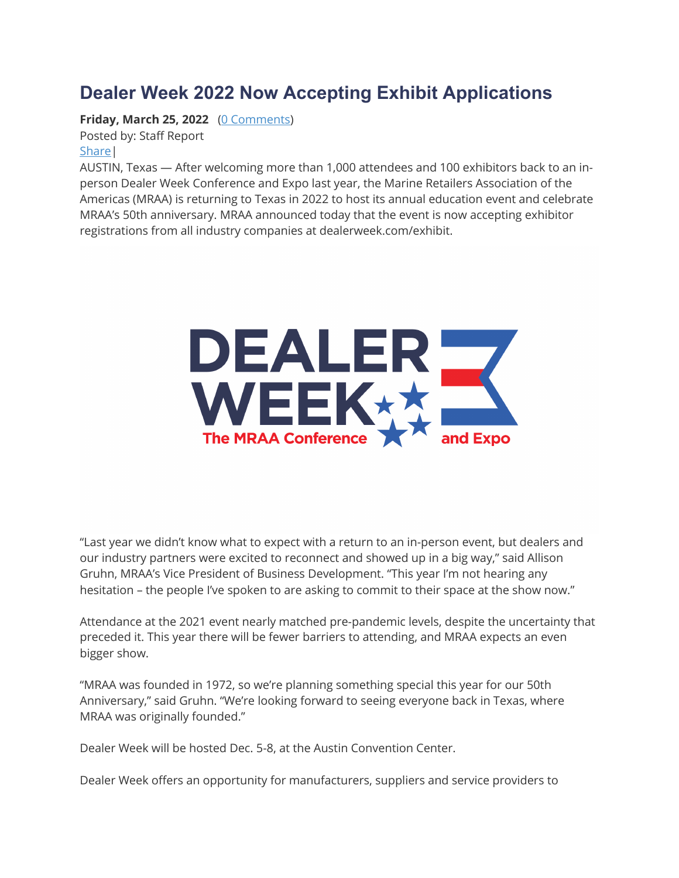## **Dealer Week 2022 Now Accepting Exhibit Applications**

## **Friday, March 25, 2022** (0 Comments)

Posted by: Staff Report Share|

AUSTIN, Texas — After welcoming more than 1,000 attendees and 100 exhibitors back to an inperson Dealer Week Conference and Expo last year, the Marine Retailers Association of the Americas (MRAA) is returning to Texas in 2022 to host its annual education event and celebrate MRAA's 50th anniversary. MRAA announced today that the event is now accepting exhibitor registrations from all industry companies at dealerweek.com/exhibit.



"Last year we didn't know what to expect with a return to an in-person event, but dealers and our industry partners were excited to reconnect and showed up in a big way," said Allison Gruhn, MRAA's Vice President of Business Development. "This year I'm not hearing any hesitation – the people I've spoken to are asking to commit to their space at the show now."

Attendance at the 2021 event nearly matched pre-pandemic levels, despite the uncertainty that preceded it. This year there will be fewer barriers to attending, and MRAA expects an even bigger show.

"MRAA was founded in 1972, so we're planning something special this year for our 50th Anniversary," said Gruhn. "We're looking forward to seeing everyone back in Texas, where MRAA was originally founded."

Dealer Week will be hosted Dec. 5-8, at the Austin Convention Center.

Dealer Week offers an opportunity for manufacturers, suppliers and service providers to